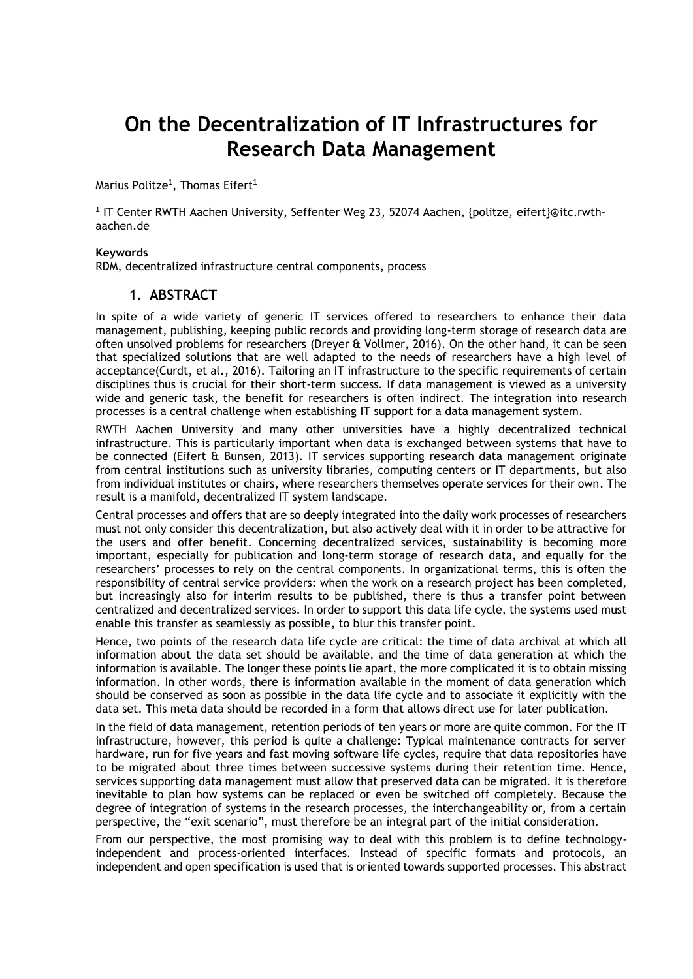## **On the Decentralization of IT Infrastructures for Research Data Management**

Marius Politze $^{\rm 1}$ , Thomas Eifert $^{\rm 1}$ 

<sup>1</sup> IT Center RWTH Aachen University, Seffenter Weg 23, 52074 Aachen, {politze, eifert}@itc.rwthaachen.de

## **Keywords**

RDM, decentralized infrastructure central components, process

## **1. ABSTRACT**

In spite of a wide variety of generic IT services offered to researchers to enhance their data management, publishing, keeping public records and providing long-term storage of research data are often unsolved problems for researchers (Dreyer & Vollmer, 2016). On the other hand, it can be seen that specialized solutions that are well adapted to the needs of researchers have a high level of acceptance(Curdt, et al., 2016). Tailoring an IT infrastructure to the specific requirements of certain disciplines thus is crucial for their short-term success. If data management is viewed as a university wide and generic task, the benefit for researchers is often indirect. The integration into research processes is a central challenge when establishing IT support for a data management system.

RWTH Aachen University and many other universities have a highly decentralized technical infrastructure. This is particularly important when data is exchanged between systems that have to be connected (Eifert & Bunsen, 2013). IT services supporting research data management originate from central institutions such as university libraries, computing centers or IT departments, but also from individual institutes or chairs, where researchers themselves operate services for their own. The result is a manifold, decentralized IT system landscape.

Central processes and offers that are so deeply integrated into the daily work processes of researchers must not only consider this decentralization, but also actively deal with it in order to be attractive for the users and offer benefit. Concerning decentralized services, sustainability is becoming more important, especially for publication and long-term storage of research data, and equally for the researchers' processes to rely on the central components. In organizational terms, this is often the responsibility of central service providers: when the work on a research project has been completed, but increasingly also for interim results to be published, there is thus a transfer point between centralized and decentralized services. In order to support this data life cycle, the systems used must enable this transfer as seamlessly as possible, to blur this transfer point.

Hence, two points of the research data life cycle are critical: the time of data archival at which all information about the data set should be available, and the time of data generation at which the information is available. The longer these points lie apart, the more complicated it is to obtain missing information. In other words, there is information available in the moment of data generation which should be conserved as soon as possible in the data life cycle and to associate it explicitly with the data set. This meta data should be recorded in a form that allows direct use for later publication.

In the field of data management, retention periods of ten years or more are quite common. For the IT infrastructure, however, this period is quite a challenge: Typical maintenance contracts for server hardware, run for five years and fast moving software life cycles, require that data repositories have to be migrated about three times between successive systems during their retention time. Hence, services supporting data management must allow that preserved data can be migrated. It is therefore inevitable to plan how systems can be replaced or even be switched off completely. Because the degree of integration of systems in the research processes, the interchangeability or, from a certain perspective, the "exit scenario", must therefore be an integral part of the initial consideration.

From our perspective, the most promising way to deal with this problem is to define technologyindependent and process-oriented interfaces. Instead of specific formats and protocols, an independent and open specification is used that is oriented towards supported processes. This abstract